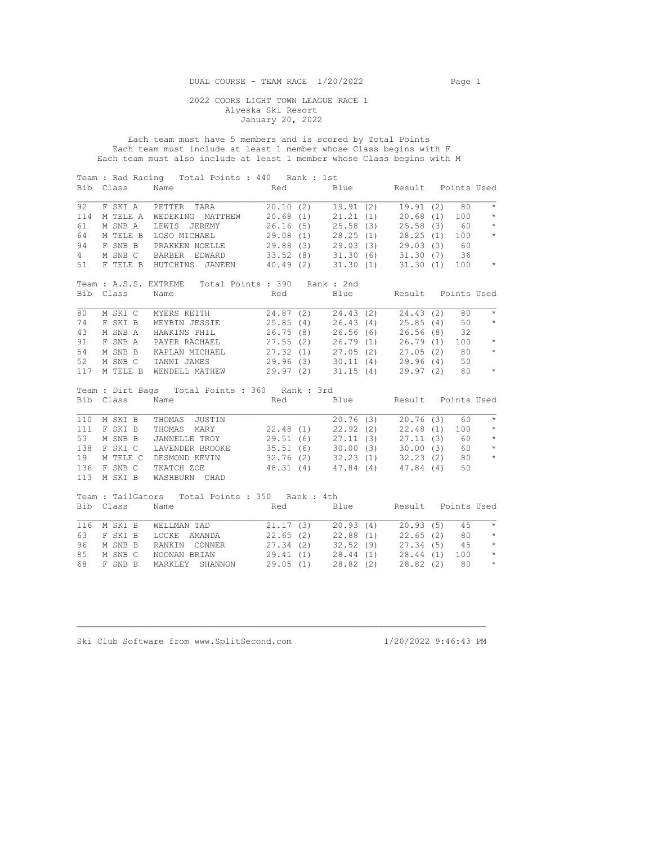DUAL COURSE - TEAM RACE 1/20/2022 Page 1

 2022 COORS LIGHT TOWN LEAGUE RACE 1 Alyeska Ski Resort January 20, 2022

 Each team must have 5 members and is scored by Total Points Each team must include at least 1 member whose Class begins with F Each team must also include at least 1 member whose Class begins with M

| Blue Result Points Used<br>19.91 (2) 19.91 (2) 80<br>$\star$                                                                                                                                                                                                                                                                         |
|--------------------------------------------------------------------------------------------------------------------------------------------------------------------------------------------------------------------------------------------------------------------------------------------------------------------------------------|
|                                                                                                                                                                                                                                                                                                                                      |
|                                                                                                                                                                                                                                                                                                                                      |
|                                                                                                                                                                                                                                                                                                                                      |
| $\star$<br>20.68(1)100                                                                                                                                                                                                                                                                                                               |
| $\star$<br>25.58(3)60                                                                                                                                                                                                                                                                                                                |
| $\star$<br>100                                                                                                                                                                                                                                                                                                                       |
| 29.03(3)60                                                                                                                                                                                                                                                                                                                           |
| BARBER EDWARD 33.52 (8) 31.30 (6) 31.30 (7) 36                                                                                                                                                                                                                                                                                       |
| $\qquad \qquad \star$<br>F TELE B HUTCHINS JANEEN 40.49 (2) 31.30 (1) 31.30 (1) 100                                                                                                                                                                                                                                                  |
|                                                                                                                                                                                                                                                                                                                                      |
|                                                                                                                                                                                                                                                                                                                                      |
| Blue Result Points Used                                                                                                                                                                                                                                                                                                              |
|                                                                                                                                                                                                                                                                                                                                      |
| $\star$<br>80                                                                                                                                                                                                                                                                                                                        |
| 50<br>$\star$                                                                                                                                                                                                                                                                                                                        |
| 32                                                                                                                                                                                                                                                                                                                                   |
| $\qquad \, \star$<br>100                                                                                                                                                                                                                                                                                                             |
| $\star$<br>80                                                                                                                                                                                                                                                                                                                        |
| 50                                                                                                                                                                                                                                                                                                                                   |
| $\qquad \, \star$<br>80                                                                                                                                                                                                                                                                                                              |
|                                                                                                                                                                                                                                                                                                                                      |
|                                                                                                                                                                                                                                                                                                                                      |
| Red Blue Result Points Used                                                                                                                                                                                                                                                                                                          |
|                                                                                                                                                                                                                                                                                                                                      |
|                                                                                                                                                                                                                                                                                                                                      |
| $\star$                                                                                                                                                                                                                                                                                                                              |
| $20.76(3)$ $20.76(3)$ 60<br>$\star$                                                                                                                                                                                                                                                                                                  |
| 100                                                                                                                                                                                                                                                                                                                                  |
| JANNELLE TROY  29.51 (6) 27.11 (3) 27.11 (3) 60<br>$\qquad \, \star$                                                                                                                                                                                                                                                                 |
| LAVENDER BROOKE 35.51 (6) 30.00 (3) 30.00 (3) 60<br>$\qquad \, \star$                                                                                                                                                                                                                                                                |
| $\rightarrow$                                                                                                                                                                                                                                                                                                                        |
| DESMOND KEVIN 32.76 (2) 32.23 (1) 32.23 (2) 80<br>TKATCH ZOE 48.31 (4) 47.84 (4) 47.84 (4) 50                                                                                                                                                                                                                                        |
|                                                                                                                                                                                                                                                                                                                                      |
|                                                                                                                                                                                                                                                                                                                                      |
|                                                                                                                                                                                                                                                                                                                                      |
| Name Red Blue Result Points Used                                                                                                                                                                                                                                                                                                     |
|                                                                                                                                                                                                                                                                                                                                      |
| $\star$<br>45                                                                                                                                                                                                                                                                                                                        |
| LOCKE AMANDA 22.65 (2) 22.88 (1) 22.65 (2) 80<br>$\star$                                                                                                                                                                                                                                                                             |
| $\star$<br>$27.34(5)$ 45                                                                                                                                                                                                                                                                                                             |
| $\qquad \star$<br>100<br>$\qquad \, \star$<br>80                                                                                                                                                                                                                                                                                     |
| M SKI C MYERS KEITH 24.87 (2) 24.43 (2) 24.43 (2)<br>F SKI B MEYBIN JESSIE 25.85 (4) 26.43 (4) 25.85 (4)<br>M SNB A HAWKINS PHIL 26.75 (8) 26.56 (6) 26.56 (8)<br>M SNB B KAPLAN MICHAEL 27.32 (1) 27.05 (2) 27.05 (2)<br>M SNB C IANNI JAMES 29.96 (3) 30.11 (4) 29.96 (4)<br>M TELE B WENDELL MATHEW 29.97 (2) 31.15 (4) 29.97 (2) |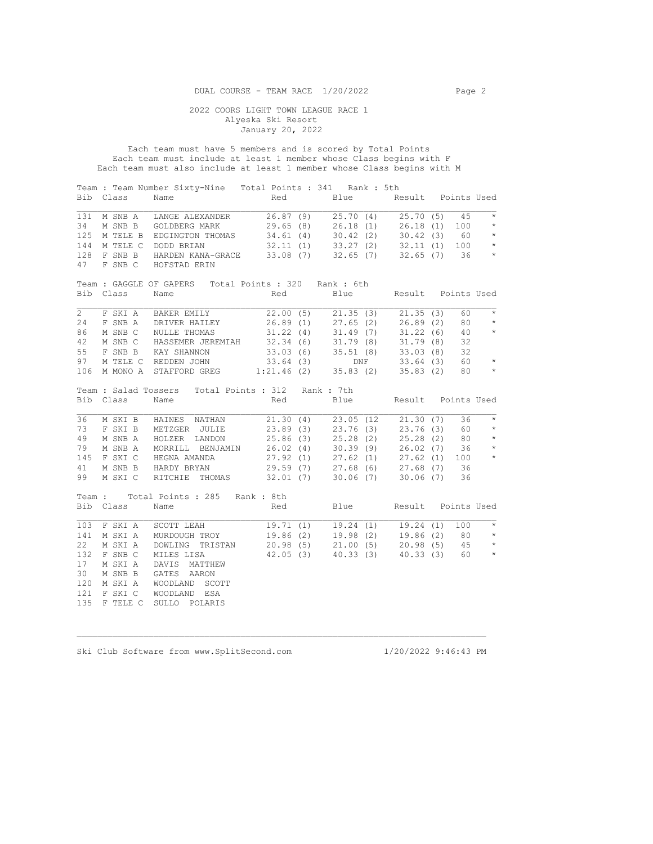Each team must have 5 members and is scored by Total Points Each team must include at least 1 member whose Class begins with F Each team must also include at least 1 member whose Class begins with M

| Bib            | Class              | Team : Team Number Sixty-Nine  Total Points : 341  Rank : 5th<br>Name                                                      |          | Red Blue Result Points Used                                                                               |                    |     |                       |
|----------------|--------------------|----------------------------------------------------------------------------------------------------------------------------|----------|-----------------------------------------------------------------------------------------------------------|--------------------|-----|-----------------------|
| 131            | M SNB A            | LANGE ALEXANDER                                                                                                            | 26.87(9) | $25.70(4)$ $25.70(5)$                                                                                     |                    | 45  | $\star$               |
| 34             | M SNB B            | GOLDBERG MARK 29.65 (8) 26.18 (1) 26.18 (1)                                                                                |          |                                                                                                           |                    | 100 | $\star$               |
| 125            | M TELE B           |                                                                                                                            |          |                                                                                                           |                    |     | $\star$               |
| 144            | M TELE C           | EDGINGTON THOMAS 34.61 (4) 30.42 (2) 30.42 (3) 60<br>DODD BRIAN 32.11 (1) 33.27 (2) 32.11 (1) 100                          |          |                                                                                                           |                    |     | $\star$               |
| 128            | F SNB B            | HARDEN KANA-GRACE 33.08 (7) 32.65 (7) 32.65 (7) 36                                                                         |          |                                                                                                           |                    |     | $\star$               |
| 47             | F SNB C            | HOFSTAD ERIN                                                                                                               |          |                                                                                                           |                    |     |                       |
|                |                    | Team: GAGGLE OF GAPERS Total Points: 320 Rank: 6th                                                                         |          |                                                                                                           |                    |     |                       |
| Bib            | Class              | Name                                                                                                                       | Red      | Blue                                                                                                      | Result Points Used |     |                       |
| $\overline{2}$ | F SKI A            | BAKER EMILY 22.00 (5) 21.35 (3) 21.35 (3)                                                                                  |          |                                                                                                           |                    | 60  | $\star$               |
| 24             |                    |                                                                                                                            |          |                                                                                                           |                    | 80  | $\star$               |
| 86             |                    | F SNB A DRIVER HAILEY 26.89 (1) 27.65 (2) 26.89 (2)<br>M SNB C NULLE THOMAS 31.22 (4) 31.49 (7) 31.22 (6)                  |          |                                                                                                           |                    | 40  | $\star$               |
| 42             | M SNB C            | HASSEMER JEREMIAH 32.34 (6) 31.79 (8) 31.79 (8)                                                                            |          |                                                                                                           |                    | 32  |                       |
| 55             | F SNB B            | XAY SHANNON<br>REDDEN JOHN 33.64 (3) BREDDEN JOHN 33.64 (3) DNF 33.64 (3)<br>STAFFORD GREG 1:21.46 (2) 35.83 (2) 35.83 (2) |          |                                                                                                           |                    | 32  |                       |
| 97             |                    | M TELE C REDDEN JOHN                                                                                                       |          |                                                                                                           |                    | 60  | $\mathbb{R}^d$        |
| 106            | M MONO A           |                                                                                                                            |          |                                                                                                           |                    | 80  | $\longrightarrow$     |
| Bib            | Class              | Team : Salad Tossers Total Points : 312 Rank : 7th<br>Name                                                                 | Red      | Blue                                                                                                      | Result Points Used |     |                       |
| 36             |                    | M SKI B HAINES NATHAN 21.30 (4) 23.05 (12 21.30 (7)                                                                        |          |                                                                                                           |                    | 36  | $\star$               |
| 73             | F SKI B            | METZGER JULIE                                                                                                              |          | 23.89 (3) 23.76 (3) 23.76 (3) 60                                                                          |                    |     | $\star$               |
| 49             | M SNB A            | HOLZER LANDON                                                                                                              |          |                                                                                                           |                    |     | $\star$               |
| 79             | M SNB A            | MORRILL BENJAMIN                                                                                                           |          | 25.86 (3) 25.28 (2) 25.28 (2) 80<br>26.02 (4) 30.39 (9) 26.02 (7) 36<br>27.92 (1) 27.62 (1) 27.62 (1) 100 |                    |     | $\qquad \, \star$     |
| 145            | F SKI C            | HEGNA AMANDA                                                                                                               |          |                                                                                                           |                    |     | $\qquad \qquad \star$ |
|                |                    |                                                                                                                            |          |                                                                                                           |                    |     |                       |
| 41             | M SNB B<br>M SKI C | HARDY BRYAN                                                                                                                |          | 29.59 (7) 27.68 (6) 27.68 (7) 36                                                                          |                    | 36  |                       |
| 99             |                    | RITCHIE THOMAS 32.01 (7) 30.06 (7) 30.06 (7)                                                                               |          |                                                                                                           |                    |     |                       |
|                |                    | Team: Total Points: 285 Rank: 8th                                                                                          |          |                                                                                                           |                    |     |                       |
|                | Bib Class          | Name                                                                                                                       | Red      | Blue Result Points Used                                                                                   |                    |     |                       |
| 103            | F SKI A            | SCOTT LEAH                                                                                                                 |          | $19.71(1)$ $19.24(1)$ $19.24(1)$                                                                          |                    | 100 | $\star$               |
| 141            | M SKI A            |                                                                                                                            |          |                                                                                                           |                    |     |                       |
| 22             | M SKI A            |                                                                                                                            |          |                                                                                                           |                    |     |                       |
| 132            | F SNB C            | MILES LISA                                                                                                                 |          | $42.05(3)$ $40.33(3)$ $40.33(3)$                                                                          |                    |     | 60 *                  |
| 17             | M SKI A            | DAVIS MATTHEW                                                                                                              |          |                                                                                                           |                    |     |                       |
| 30             | M SNB B            | GATES AARON                                                                                                                |          |                                                                                                           |                    |     |                       |
| 120            |                    |                                                                                                                            |          |                                                                                                           |                    |     |                       |
|                |                    |                                                                                                                            |          |                                                                                                           |                    |     |                       |
| 121            | M SKI A<br>F SKI C | WOODLAND SCOTT<br>WOODLAND ESA                                                                                             |          |                                                                                                           |                    |     |                       |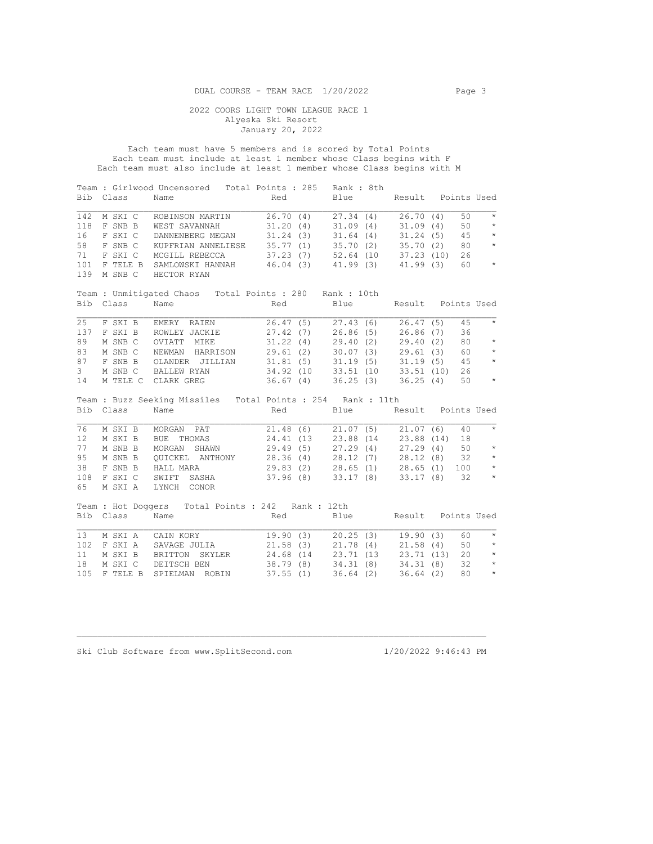Each team must have 5 members and is scored by Total Points Each team must include at least 1 member whose Class begins with F Each team must also include at least 1 member whose Class begins with M

| Bib            | Class    | Team : Girlwood Uncensored Total Points : 285 Rank : 8th<br>Name | Red                                                                                                   | Blue                  |          | Result Points Used |         |
|----------------|----------|------------------------------------------------------------------|-------------------------------------------------------------------------------------------------------|-----------------------|----------|--------------------|---------|
| 142            | M SKI C  | ROBINSON MARTIN                                                  | $26.70$ (4) $27.34$ (4) $26.70$ (4)<br>31.20 (4) 31.09 (4) 31.09 (4)<br>31.24 (3) 31.64 (4) 31.24 (5) |                       |          | 50                 | $\star$ |
| 118            | F SNB B  | WEST SAVANNAH                                                    |                                                                                                       |                       |          | 50                 | $\star$ |
| 16             | F SKI C  | DANNENBERG MEGAN                                                 |                                                                                                       |                       |          | 45                 | $\star$ |
| 58             | F SNB C  | KUPFRIAN ANNELIESE                                               | 35.77 (1) 35.70 (2) 35.70 (2)                                                                         |                       |          | 80                 | $\star$ |
| 71             | F SKI C  | MCGILL REBECCA                                                   | 37.23 (7) 52.64 (10 37.23 (10)                                                                        |                       |          | 26                 |         |
| 101<br>139     | M SNB C  | F TELE B SAMLOWSKI HANNAH 46.04 (3)<br>HECTOR RYAN               |                                                                                                       | $41.99(3)$ $41.99(3)$ |          | 60                 | $\star$ |
|                |          | Team : Unmitigated Chaos Total Points : 280 Rank : 10th          |                                                                                                       |                       |          |                    |         |
| Bib            | Class    | Name                                                             | Red                                                                                                   | Blue                  |          | Result Points Used |         |
| 25             |          | F SKI B EMERY RAIEN                                              |                                                                                                       |                       |          | 45                 | $\star$ |
| 137            | F SKI B  | ROWLEY JACKIE                                                    | 26.47 (5) 27.43 (6) 26.47 (5)<br>27.42 (7) 26.86 (5) 26.86 (7)                                        |                       |          | 36                 |         |
| 89             | M SNB C  | OVIATT<br>MIKE                                                   | $31.22(4)$ $29.40(2)$ $29.40(2)$                                                                      |                       |          | 80                 | $\star$ |
| 83             | M SNB C  | NEWMAN HARRISON                                                  | 29.61 (2) 30.07 (3) 29.61 (3)                                                                         |                       |          | 60                 | $\star$ |
| 87             | F SNB B  | OLANDER JILLIAN 31.81 (5) 31.19 (5) 31.19 (5)                    |                                                                                                       |                       |          | 45                 | $\star$ |
| 3 <sup>7</sup> |          | M SNB C BALLEW RYAN                                              |                                                                                                       |                       |          | 26                 |         |
| 14             |          | M TELE C CLARK GREG                                              | 34.92 (10 33.51 (10 33.51 (10)<br>36.67 (4) 36.25 (3) 36.25 (4)                                       |                       |          | 50                 | $\star$ |
|                |          | Team : Buzz Seeking Missiles Total Points : 254 Rank : 11th      |                                                                                                       |                       |          |                    |         |
| Bib            | Class    | Name                                                             | Red                                                                                                   | Blue                  |          | Result Points Used |         |
| 76             | M SKI B  | MORGAN PAT                                                       | 21.48 (6)                                                                                             | $21.07(5)$ $21.07(6)$ |          | 40                 | $\star$ |
| 12             | M SKI B  | THOMAS<br>BUE                                                    | $24.41(13 \t 23.88(14 \t 23.88(14))$                                                                  |                       |          | 18                 |         |
| 77             | M SNB B  | MORGAN<br>SHAWN                                                  | 29.49 (5) 27.29 (4) 27.29 (4)                                                                         |                       |          | 50                 | $\star$ |
| 95             | M SNB B  | QUICKEL ANTHONY 28.36 (4) 28.12 (7) 28.12 (8)                    |                                                                                                       |                       |          | 32 $*$             |         |
| 38             | F SNB B  | HALL MARA                                                        |                                                                                                       |                       |          |                    |         |
| 108            | F SKI C  | SWIFT SASHA                                                      | 29.83 (2) 28.65 (1) 28.65 (1) 100 *<br>37.96 (8) 33.17 (8) 33.17 (8) 32 *                             |                       |          |                    |         |
| 65             | M SKI A  | LYNCH CONOR                                                      |                                                                                                       |                       |          |                    |         |
|                |          | Team : Hot Doggers Total Points : 242 Rank : 12th                |                                                                                                       |                       |          |                    |         |
| Bib            | Class    | Name                                                             | Red                                                                                                   | Blue                  |          | Result Points Used |         |
| 13             | M SKI A  | CAIN KORY                                                        | 19.90 (3)                                                                                             | $20.25(3)$ 19.90 (3)  |          | 60                 | $\star$ |
| 102            | F SKI A  | SAVAGE JULIA                                                     | 21.58(3)                                                                                              | $21.78(4)$ $21.58(4)$ |          | 50                 | $\star$ |
| 11             | M SKI B  | BRITTON SKYLER                                                   | 24.68 (14 23.71 (13 23.71 (13)                                                                        |                       |          | 20                 | $\star$ |
| 18             | M SKI C  | DEITSCH BEN                                                      | 38.79(8)                                                                                              | 34.31 (8) 34.31 (8)   |          | 32                 | $\star$ |
| 105            | F TELE B | SPIELMAN<br>ROBIN                                                | 37.55(1)                                                                                              | 36.64(2)              | 36.64(2) | 80                 | $\star$ |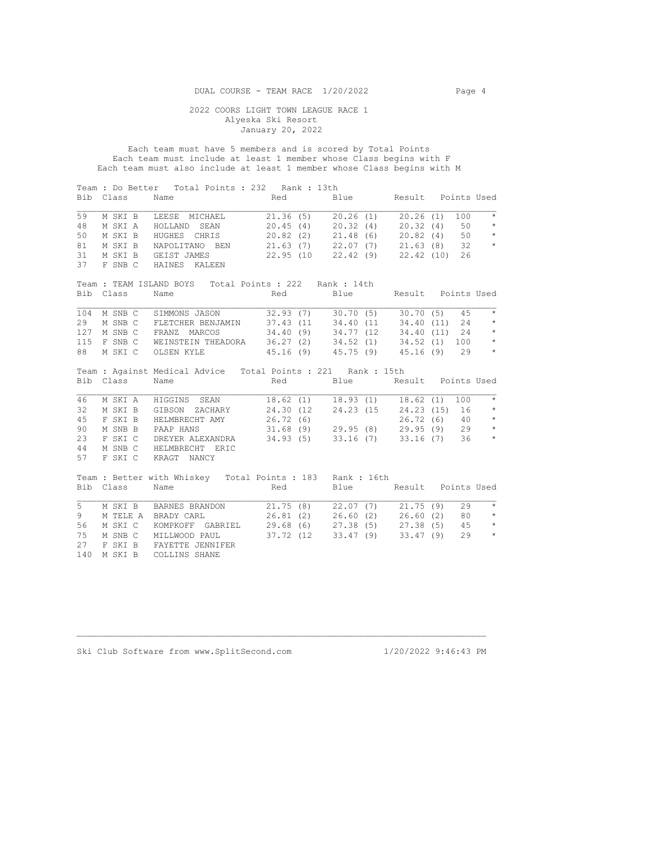Each team must have 5 members and is scored by Total Points Each team must include at least 1 member whose Class begins with F Each team must also include at least 1 member whose Class begins with M

| Bib | Class     | Team : Do Better Total Points : 232 Rank : 13th<br>Name      | Red                               | Blue                     |          | Result Points Used |
|-----|-----------|--------------------------------------------------------------|-----------------------------------|--------------------------|----------|--------------------|
| 59  | M SKI B   | LEESE MICHAEL                                                | 21.36(5)                          | 20.26(1)                 | 20.26(1) | $\star$<br>100     |
| 48  | M SKI A   | HOLLAND SEAN                                                 | 20.45(4)                          | 20.32(4)                 | 20.32(4) | $\star$<br>50      |
| 50  | M SKI B   | HUGHES CHRIS                                                 | 20.82(2)                          | $21.48(6)$ $20.82(4)$    |          | $50 \times$        |
| 81  | M SKI B   | NAPOLITANO BEN 21.63 (7) 22.07 (7) 21.63 (8)                 |                                   |                          |          | $\star$<br>$32 -$  |
| 31  | M SKI B   | GEIST JAMES                                                  | 22.95 (10 22.42 (9) 22.42 (10)    |                          |          | 26                 |
| 37  | F SNB C   | HAINES KALEEN                                                |                                   |                          |          |                    |
|     |           | Team: TEAM ISLAND BOYS Total Points: 222 Rank: 14th          |                                   |                          |          |                    |
|     | Bib Class | Name                                                         | Red                               | Blue                     |          | Result Points Used |
| 104 | M SNB C   | SIMMONS JASON                                                | 32.93(7)                          | $30.70(5)$ $30.70(5)$    |          | 45<br>$\star$      |
| 29  | M SNB C   | FLETCHER BENJAMIN                                            | 37.43 (11 34.40 (11 34.40 (11)    |                          |          | $\star$<br>24      |
| 127 | M SNB C   | FRANZ MARCOS                                                 | 34.40 (9) 34.77 (12 34.40 (11)    |                          |          | $24$ *             |
| 115 |           | F SNB C WEINSTEIN THEADORA                                   | 36.27 (2) 34.52 (1) 34.52 (1) 100 |                          |          | $\star$            |
| 88  | M SKI C   | OLSEN KYLE                                                   | 45.16 (9) 45.75 (9) 45.16 (9)     |                          |          | $\star$<br>29      |
|     |           |                                                              |                                   |                          |          |                    |
|     |           | Team : Against Medical Advice Total Points : 221 Rank : 15th |                                   |                          |          |                    |
| Bib | Class     | Name                                                         | Red                               | Blue                     |          | Result Points Used |
| 46  | M SKI A   | HIGGINS SEAN                                                 | 18.62(1)                          | $18.93(1)$ $18.62(1)$    |          | 100<br>$\star$     |
| 32  | M SKI B   | GIBSON ZACHARY                                               | 24.30 (12)                        | $24.23(15 \t 24.23(15))$ |          | $\star$<br>16      |
| 45  | F SKI B   | HELMBRECHT AMY                                               | 26.72 (6)                         |                          |          | $26.72(6)$ 40 *    |
| 90  | M SNB B   | PAAP HANS                                                    | $31.68(9)$ 29.95 (8) 29.95 (9)    |                          |          | $\star$<br>29      |
| 23  | F SKI C   | DREYER ALEXANDRA                                             | 34.93 (5)                         | 33.16 (7) 33.16 (7)      |          | $\star$<br>36      |
| 44  | M SNB C   | HELMBRECHT<br>ERIC                                           |                                   |                          |          |                    |
| 57  | F SKI C   | KRAGT NANCY                                                  |                                   |                          |          |                    |
|     |           |                                                              |                                   |                          |          |                    |
|     |           | Team: Better with Whiskey Total Points: 183 Rank: 16th       |                                   |                          |          |                    |
|     | Bib Class | Name                                                         | Red                               | Blue Result Points Used  |          |                    |
| 5   | M SKI B   |                                                              |                                   | 22.07(7)                 |          | $\star$<br>29      |
| 9   |           | BARNES BRANDON<br>M TELE A BRADY CARL                        | 21.75(8)<br>26.81(2)              | $26.60(2)$ $26.60(2)$    | 21.75(9) | 80<br>$\star$      |
| 56  | M SKI C   | KOMPKOFF GABRIEL                                             | 29.68(6)                          | $27.38(5)$ $27.38(5)$    |          | $\star$<br>45      |
| 75  | M SNB C   | MILLWOOD PAUL                                                | 37.72 (12                         | 33.47(9)                 | 33.47(9) | $\star$<br>29      |
| 27  | F SKI B   | FAYETTE JENNIFER                                             |                                   |                          |          |                    |
| 140 | M SKI B   | COLLINS SHANE                                                |                                   |                          |          |                    |
|     |           |                                                              |                                   |                          |          |                    |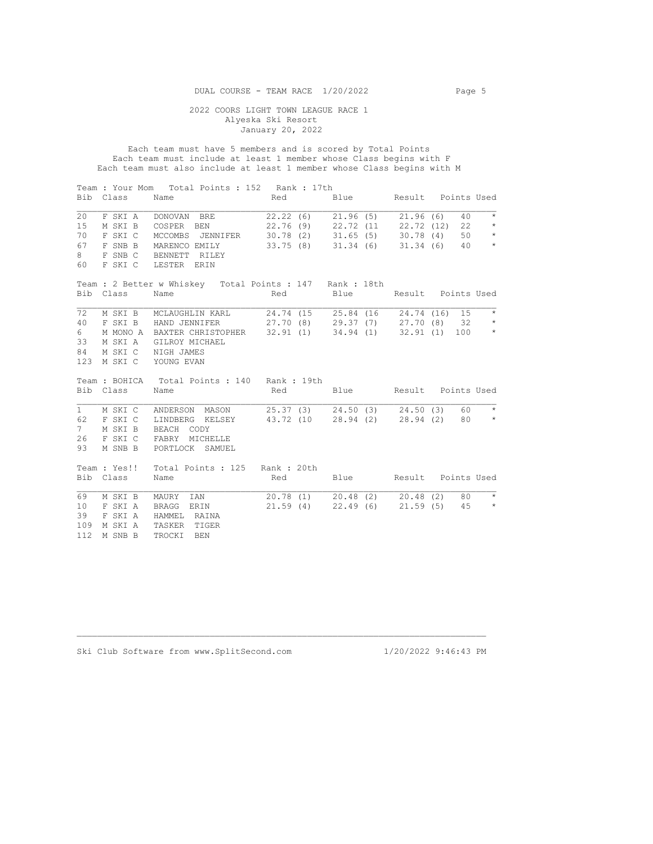Each team must have 5 members and is scored by Total Points Each team must include at least 1 member whose Class begins with F Each team must also include at least 1 member whose Class begins with M

|             | Bib Class | Team : Your Mom Total Points : 152 Rank : 17th<br>Name          | <b>Red</b>                       | Blue Result Points Used          |    |               |
|-------------|-----------|-----------------------------------------------------------------|----------------------------------|----------------------------------|----|---------------|
| 20          | F SKI A   | DONOVAN BRE                                                     |                                  | 22.22 (6) 21.96 (5) 21.96 (6)    | 40 | $\star$       |
| 15          | M SKI B   | COSPER BEN                                                      |                                  | 22.76 (9) 22.72 (11 22.72 (12)   |    | 22<br>$\star$ |
| 70          | F SKI C   | MCCOMBS JENNIFER 30.78 (2) 31.65 (5) 30.78 (4)                  |                                  |                                  |    | 50<br>$\star$ |
| 67          | F SNB B   | MARENCO EMILY 33.75 (8) 31.34 (6) 31.34 (6)                     |                                  |                                  |    | $\star$<br>40 |
| 8           | F SNB C   | BENNETT RILEY                                                   |                                  |                                  |    |               |
| 60          | F SKI C   | LESTER ERIN                                                     |                                  |                                  |    |               |
|             |           | Team : 2 Better w Whiskey Total Points : 147 Rank : 18th        |                                  |                                  |    |               |
|             | Bib Class | Name                                                            | Red                              | Blue Result Points Used          |    |               |
|             |           |                                                                 |                                  |                                  |    |               |
| 72          |           | M SKI B MCLAUGHLIN KARL 24.74 (15 25.84 (16 24.74 (16) 15       |                                  |                                  |    | $\star$       |
| 40          |           | F SKI B HAND JENNIFER 27.70 (8) 29.37 (7) 27.70 (8) 32          |                                  |                                  |    | $\star$       |
| 6           |           | M MONO A BAXTER CHRISTOPHER 32.91 (1) 34.94 (1) 32.91 (1) 100 * |                                  |                                  |    |               |
| 33          |           | M SKI A GILROY MICHAEL                                          |                                  |                                  |    |               |
| 84          |           | M SKI C NIGH JAMES                                              |                                  |                                  |    |               |
| 123         |           | M SKI C YOUNG EVAN                                              |                                  |                                  |    |               |
|             |           | Team : BOHICA Total Points : 140 Rank : 19th                    |                                  |                                  |    |               |
|             | Bib Class | Name                                                            | Red Blue Result Points Used      |                                  |    |               |
| 1           | M SKI C   | ANDERSON MASON 25.37 (3) 24.50 (3) 24.50 (3)                    |                                  |                                  | 60 | $\star$       |
| 62          | F SKI C   | LINDBERG KELSEY 43.72 (10 28.94 (2) 28.94 (2)                   |                                  |                                  |    | $80 \times$   |
| $7^{\circ}$ | M SKI B   | BEACH CODY                                                      |                                  |                                  |    |               |
| 26          |           | F SKI C FABRY MICHELLE                                          |                                  |                                  |    |               |
| 93          | M SNB B   | PORTLOCK SAMUEL                                                 |                                  |                                  |    |               |
|             |           |                                                                 |                                  |                                  |    |               |
|             |           | Team : Yes!! Total Points : 125 Rank : 20th                     |                                  |                                  |    |               |
|             | Bib Class | Name                                                            | Red                              | Blue Result Points Used          |    |               |
|             |           |                                                                 |                                  |                                  |    |               |
| 69          | M SKI B   | MAURY IAN                                                       | $20.78(1)$ $20.48(2)$ $20.48(2)$ |                                  |    | $80 \times$   |
| 10          | F SKI A   | BRAGG ERIN                                                      |                                  | $21.59(4)$ $22.49(6)$ $21.59(5)$ |    | $45$ *        |
| 39          | F SKI A   | HAMMEL RAINA                                                    |                                  |                                  |    |               |
| 109         | M SKI A   | TASKER TIGER                                                    |                                  |                                  |    |               |
| 112         | M SNB B   | TROCKI<br><b>BEN</b>                                            |                                  |                                  |    |               |